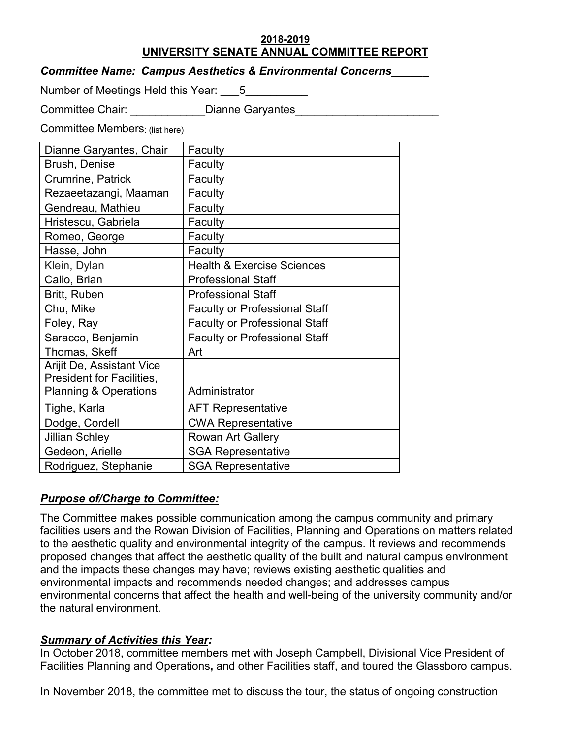### **2018-2019 UNIVERSITY SENATE ANNUAL COMMITTEE REPORT**

| <b>Committee Name: Campus Aesthetics &amp; Environmental Concerns</b> |  |
|-----------------------------------------------------------------------|--|
|                                                                       |  |

Number of Meetings Held this Year:  $\hskip 10 pt 5$ 

Committee Chair: \_\_\_\_\_\_\_\_\_\_\_\_\_\_\_Dianne Garyantes

Committee Members: (list here)

| Dianne Garyantes, Chair          | Faculty                               |
|----------------------------------|---------------------------------------|
| <b>Brush, Denise</b>             | Faculty                               |
| Crumrine, Patrick                | Faculty                               |
| Rezaeetazangi, Maaman            | Faculty                               |
| Gendreau, Mathieu                | Faculty                               |
| Hristescu, Gabriela              | Faculty                               |
| Romeo, George                    | Faculty                               |
| Hasse, John                      | Faculty                               |
| Klein, Dylan                     | <b>Health &amp; Exercise Sciences</b> |
| Calio, Brian                     | <b>Professional Staff</b>             |
| Britt, Ruben                     | <b>Professional Staff</b>             |
| Chu, Mike                        | <b>Faculty or Professional Staff</b>  |
| Foley, Ray                       | <b>Faculty or Professional Staff</b>  |
| Saracco, Benjamin                | <b>Faculty or Professional Staff</b>  |
| Thomas, Skeff                    | Art                                   |
| <b>Arijit De, Assistant Vice</b> |                                       |
| President for Facilities,        |                                       |
| <b>Planning &amp; Operations</b> | Administrator                         |
| Tighe, Karla                     | <b>AFT Representative</b>             |
| Dodge, Cordell                   | <b>CWA Representative</b>             |
| Jillian Schley                   | <b>Rowan Art Gallery</b>              |
| Gedeon, Arielle                  | <b>SGA Representative</b>             |
| Rodriguez, Stephanie             | <b>SGA Representative</b>             |

# *Purpose of/Charge to Committee:*

The Committee makes possible communication among the campus community and primary facilities users and the Rowan Division of Facilities, Planning and Operations on matters related to the aesthetic quality and environmental integrity of the campus. It reviews and recommends proposed changes that affect the aesthetic quality of the built and natural campus environment and the impacts these changes may have; reviews existing aesthetic qualities and environmental impacts and recommends needed changes; and addresses campus environmental concerns that affect the health and well-being of the university community and/or the natural environment.

# *Summary of Activities this Year:*

In October 2018, committee members met with Joseph Campbell, Divisional Vice President of Facilities Planning and Operations**,** and other Facilities staff, and toured the Glassboro campus.

In November 2018, the committee met to discuss the tour, the status of ongoing construction